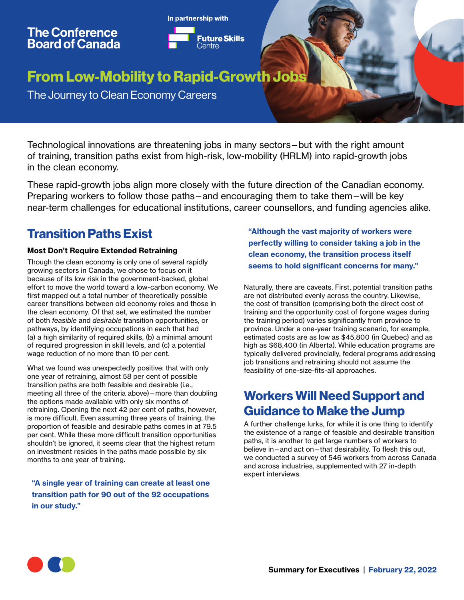# **The Conference<br>Board of Canada**



## From Low-Mobility to Rapid-Growth Jobs

The Journey to Clean Economy Careers

Technological innovations are threatening jobs in many sectors—but with the right amount of training, transition paths exist from high-risk, low-mobility (HRLM) into rapid-growth jobs in the clean economy.

These rapid-growth jobs align more closely with the future direction of the Canadian economy. Preparing workers to follow those paths—and encouraging them to take them—will be key near-term challenges for educational institutions, career counsellors, and funding agencies alike.

#### Transition Paths Exist

#### Most Don't Require Extended Retraining

Though the clean economy is only one of several rapidly growing sectors in Canada, we chose to focus on it because of its low risk in the government-backed, global effort to move the world toward a low-carbon economy. We first mapped out a total number of theoretically possible career transitions between old economy roles and those in the clean economy. Of that set, we estimated the number of both *feasible* and *desirable* transition opportunities, or pathways, by identifying occupations in each that had (a) a high similarity of required skills, (b) a minimal amount of required progression in skill levels, and (c) a potential wage reduction of no more than 10 per cent.

What we found was unexpectedly positive: that with only one year of retraining, almost 58 per cent of possible transition paths are both feasible and desirable (i.e., meeting all three of the criteria above)—more than doubling the options made available with only six months of retraining. Opening the next 42 per cent of paths, however, is more difficult. Even assuming three years of training, the proportion of feasible and desirable paths comes in at 79.5 per cent. While these more difficult transition opportunities shouldn't be ignored, it seems clear that the highest return on investment resides in the paths made possible by six months to one year of training.

"A single year of training can create at least one transition path for 90 out of the 92 occupations in our study."

"Although the vast majority of workers were perfectly willing to consider taking a job in the clean economy, the transition process itself seems to hold significant concerns for many."

Naturally, there are caveats. First, potential transition paths are not distributed evenly across the country. Likewise, the cost of transition (comprising both the direct cost of training and the opportunity cost of forgone wages during the training period) varies significantly from province to province. Under a one-year training scenario, for example, estimated costs are as low as \$45,800 (in Quebec) and as high as \$68,400 (in Alberta). While education programs are typically delivered provincially, federal programs addressing job transitions and retraining should not assume the feasibility of one-size-fits-all approaches.

#### Workers Will Need Support and Guidance to Make the Jump

A further challenge lurks, for while it is one thing to identify the existence of a range of feasible and desirable transition paths, it is another to get large numbers of workers to believe in—and act on—that desirability. To flesh this out, we conducted a survey of 546 workers from across Canada and across industries, supplemented with 27 in-depth expert interviews.